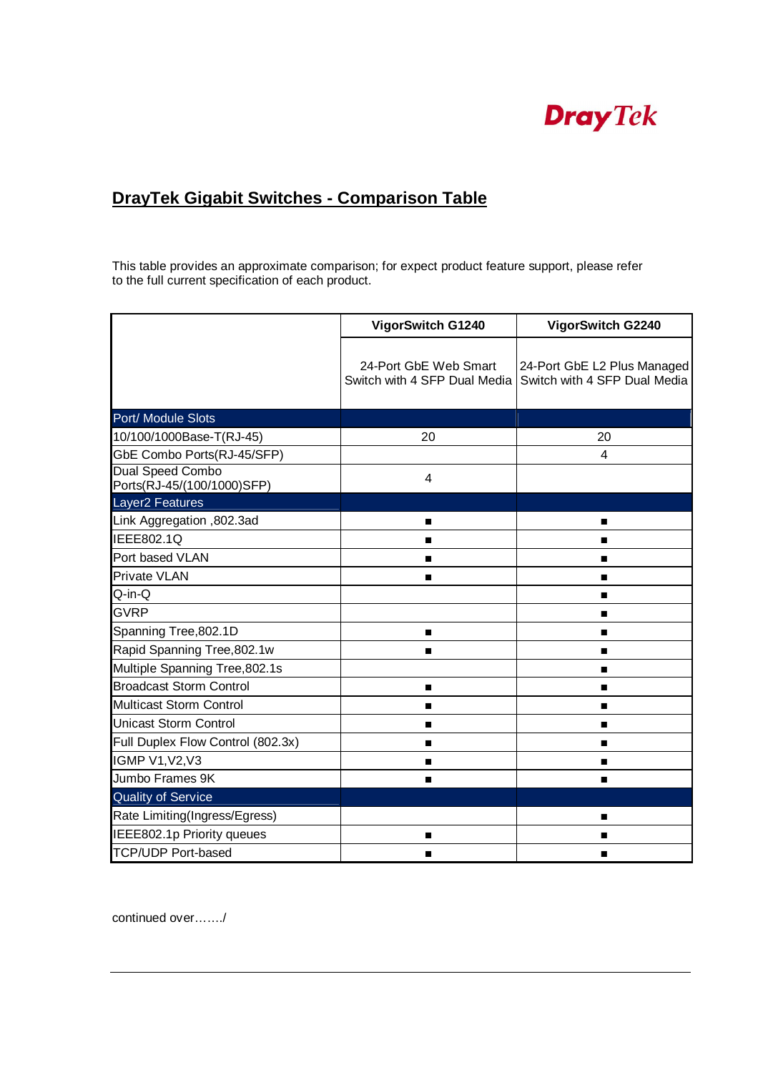## **Dray** Tek

## **DrayTek Gigabit Switches - Comparison Table**

This table provides an approximate comparison; for expect product feature support, please refer to the full current specification of each product.

|                                                       | VigorSwitch G1240                                     | VigorSwitch G2240                                           |
|-------------------------------------------------------|-------------------------------------------------------|-------------------------------------------------------------|
|                                                       | 24-Port GbE Web Smart<br>Switch with 4 SFP Dual Media | 24-Port GbE L2 Plus Managed<br>Switch with 4 SFP Dual Media |
| Port/ Module Slots                                    |                                                       |                                                             |
| 10/100/1000Base-T(RJ-45)                              | 20                                                    | 20                                                          |
| GbE Combo Ports(RJ-45/SFP)                            |                                                       | 4                                                           |
| <b>Dual Speed Combo</b><br>Ports(RJ-45/(100/1000)SFP) | 4                                                     |                                                             |
| Layer <sub>2</sub> Features                           |                                                       |                                                             |
| Link Aggregation, 802.3ad                             | п                                                     | $\blacksquare$                                              |
| IEEE802.1Q                                            | п                                                     | ■                                                           |
| Port based VLAN                                       | п                                                     | п                                                           |
| <b>Private VLAN</b>                                   | $\blacksquare$                                        | п                                                           |
| Q-in-Q                                                |                                                       | $\blacksquare$                                              |
| <b>GVRP</b>                                           |                                                       | п                                                           |
| Spanning Tree, 802.1D                                 | п                                                     | п                                                           |
| Rapid Spanning Tree, 802.1w                           |                                                       | п                                                           |
| Multiple Spanning Tree, 802.1s                        |                                                       | $\blacksquare$                                              |
| <b>Broadcast Storm Control</b>                        | п                                                     | п                                                           |
| Multicast Storm Control                               | п                                                     | $\blacksquare$                                              |
| <b>Unicast Storm Control</b>                          |                                                       | п                                                           |
| Full Duplex Flow Control (802.3x)                     |                                                       | $\blacksquare$                                              |
| <b>IGMP V1, V2, V3</b>                                |                                                       | п                                                           |
| Jumbo Frames 9K                                       |                                                       | п                                                           |
| <b>Quality of Service</b>                             |                                                       |                                                             |
| Rate Limiting(Ingress/Egress)                         |                                                       | $\blacksquare$                                              |
| IEEE802.1p Priority queues                            | п                                                     | п                                                           |
| <b>TCP/UDP Port-based</b>                             |                                                       | п                                                           |

continued over……./